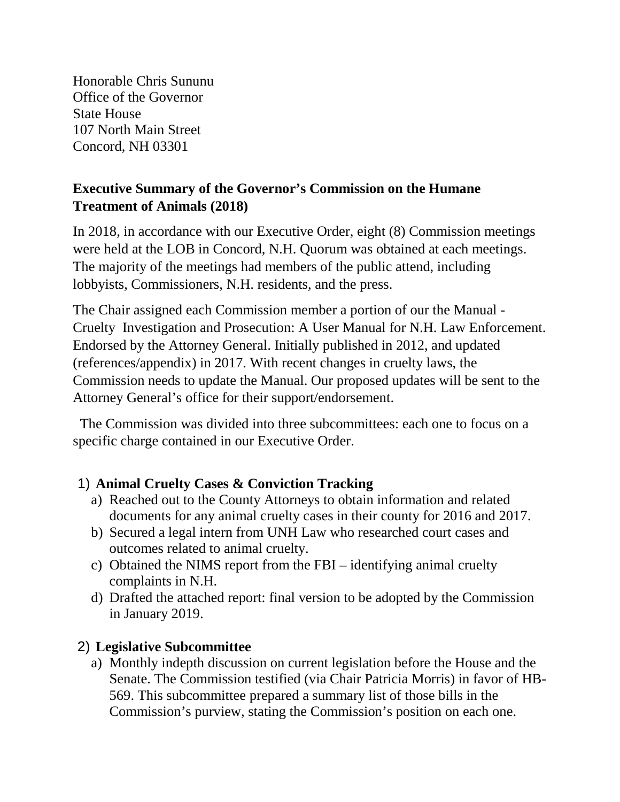Honorable Chris Sununu Office of the Governor State House 107 North Main Street Concord, NH 03301

## **Executive Summary of the Governor's Commission on the Humane Treatment of Animals (2018)**

In 2018, in accordance with our Executive Order, eight (8) Commission meetings were held at the LOB in Concord, N.H. Quorum was obtained at each meetings. The majority of the meetings had members of the public attend, including lobbyists, Commissioners, N.H. residents, and the press.

The Chair assigned each Commission member a portion of our the Manual - Cruelty Investigation and Prosecution: A User Manual for N.H. Law Enforcement. Endorsed by the Attorney General. Initially published in 2012, and updated (references/appendix) in 2017. With recent changes in cruelty laws, the Commission needs to update the Manual. Our proposed updates will be sent to the Attorney General's office for their support/endorsement.

The Commission was divided into three subcommittees: each one to focus on a specific charge contained in our Executive Order.

## 1) **Animal Cruelty Cases & Conviction Tracking**

- a) Reached out to the County Attorneys to obtain information and related documents for any animal cruelty cases in their county for 2016 and 2017.
- b) Secured a legal intern from UNH Law who researched court cases and outcomes related to animal cruelty.
- c) Obtained the NIMS report from the FBI identifying animal cruelty complaints in N.H.
- d) Drafted the attached report: final version to be adopted by the Commission in January 2019.

## 2) **Legislative Subcommittee**

a) Monthly indepth discussion on current legislation before the House and the Senate. The Commission testified (via Chair Patricia Morris) in favor of HB-569. This subcommittee prepared a summary list of those bills in the Commission's purview, stating the Commission's position on each one.